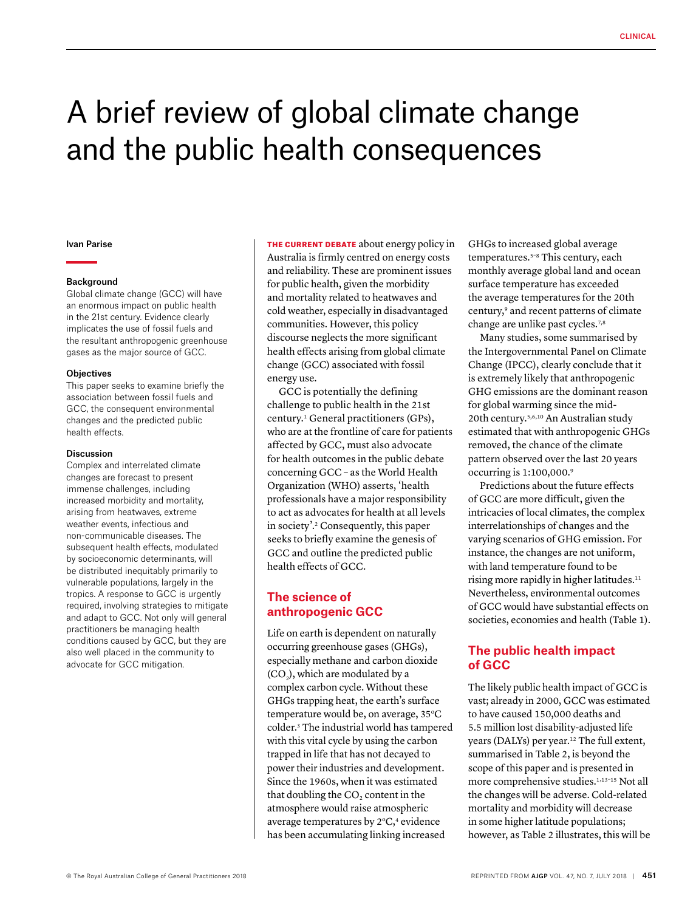# A brief review of global climate change and the public health consequences

#### Ivan Parise

#### Background

Global climate change (GCC) will have an enormous impact on public health in the 21st century. Evidence clearly implicates the use of fossil fuels and the resultant anthropogenic greenhouse gases as the major source of GCC.

#### **Objectives**

This paper seeks to examine briefly the association between fossil fuels and GCC, the consequent environmental changes and the predicted public health effects.

#### **Discussion**

Complex and interrelated climate changes are forecast to present immense challenges, including increased morbidity and mortality, arising from heatwaves, extreme weather events, infectious and non-communicable diseases. The subsequent health effects, modulated by socioeconomic determinants, will be distributed inequitably primarily to vulnerable populations, largely in the tropics. A response to GCC is urgently required, involving strategies to mitigate and adapt to GCC. Not only will general practitioners be managing health conditions caused by GCC, but they are also well placed in the community to advocate for GCC mitigation.

THE CURRENT DEBATE about energy policy in Australia is firmly centred on energy costs and reliability. These are prominent issues for public health, given the morbidity and mortality related to heatwaves and cold weather, especially in disadvantaged communities. However, this policy discourse neglects the more significant health effects arising from global climate change (GCC) associated with fossil energy use.

GCC is potentially the defining challenge to public health in the 21st century.1 General practitioners (GPs), who are at the frontline of care for patients affected by GCC, must also advocate for health outcomes in the public debate concerning GCC – as the World Health Organization (WHO) asserts, 'health professionals have a major responsibility to act as advocates for health at all levels in society'.2 Consequently, this paper seeks to briefly examine the genesis of GCC and outline the predicted public health effects of GCC.

## **The science of anthropogenic GCC**

Life on earth is dependent on naturally occurring greenhouse gases (GHGs), especially methane and carbon dioxide (CO<sub>2</sub>), which are modulated by a complex carbon cycle. Without these GHGs trapping heat, the earth's surface temperature would be, on average, 35°C colder.3 The industrial world has tampered with this vital cycle by using the carbon trapped in life that has not decayed to power their industries and development. Since the 1960s, when it was estimated that doubling the  $CO<sub>2</sub>$  content in the atmosphere would raise atmospheric average temperatures by  $2^{\circ}C$ ,<sup>4</sup> evidence has been accumulating linking increased

GHGs to increased global average temperatures.5–8 This century, each monthly average global land and ocean surface temperature has exceeded the average temperatures for the 20th century,<sup>9</sup> and recent patterns of climate change are unlike past cycles.<sup>7,8</sup>

Many studies, some summarised by the Intergovernmental Panel on Climate Change (IPCC), clearly conclude that it is extremely likely that anthropogenic GHG emissions are the dominant reason for global warming since the mid-20th century.5,6,10 An Australian study estimated that with anthropogenic GHGs removed, the chance of the climate pattern observed over the last 20 years occurring is 1:100,000. 9

Predictions about the future effects of GCC are more difficult, given the intricacies of local climates, the complex interrelationships of changes and the varying scenarios of GHG emission. For instance, the changes are not uniform, with land temperature found to be rising more rapidly in higher latitudes.<sup>11</sup> Nevertheless, environmental outcomes of GCC would have substantial effects on societies, economies and health (Table 1).

## **The public health impact of GCC**

The likely public health impact of GCC is vast; already in 2000, GCC was estimated to have caused 150,000 deaths and 5.5 million lost disability-adjusted life years (DALYs) per year.12 The full extent, summarised in Table 2, is beyond the scope of this paper and is presented in more comprehensive studies.<sup>1,13-15</sup> Not all the changes will be adverse. Cold-related mortality and morbidity will decrease in some higher latitude populations; however, as Table 2 illustrates, this will be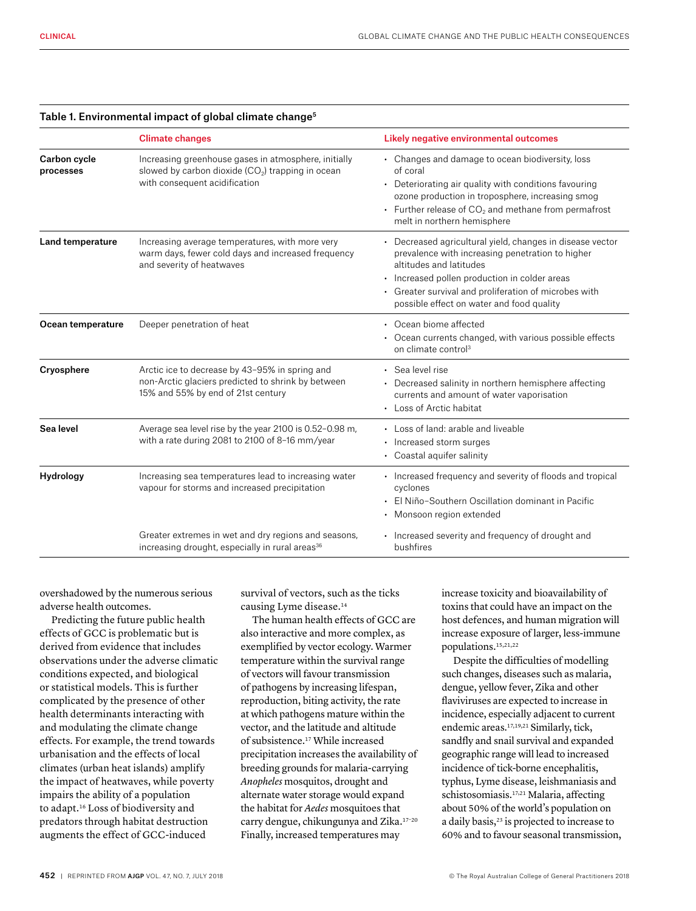|                           | <b>Climate changes</b>                                                                                                                                 | Likely negative environmental outcomes                                                                                                                                                                                                                                                          |
|---------------------------|--------------------------------------------------------------------------------------------------------------------------------------------------------|-------------------------------------------------------------------------------------------------------------------------------------------------------------------------------------------------------------------------------------------------------------------------------------------------|
| Carbon cycle<br>processes | Increasing greenhouse gases in atmosphere, initially<br>slowed by carbon dioxide (CO <sub>2</sub> ) trapping in ocean<br>with consequent acidification | • Changes and damage to ocean biodiversity, loss<br>of coral<br>• Deteriorating air quality with conditions favouring<br>ozone production in troposphere, increasing smog<br>• Further release of $CO2$ and methane from permafrost<br>melt in northern hemisphere                              |
| Land temperature          | Increasing average temperatures, with more very<br>warm days, fewer cold days and increased frequency<br>and severity of heatwaves                     | • Decreased agricultural yield, changes in disease vector<br>prevalence with increasing penetration to higher<br>altitudes and latitudes<br>• Increased pollen production in colder areas<br>• Greater survival and proliferation of microbes with<br>possible effect on water and food quality |
| Ocean temperature         | Deeper penetration of heat                                                                                                                             | • Ocean biome affected<br>• Ocean currents changed, with various possible effects<br>on climate control <sup>3</sup>                                                                                                                                                                            |
| Cryosphere                | Arctic ice to decrease by 43-95% in spring and<br>non-Arctic glaciers predicted to shrink by between<br>15% and 55% by end of 21st century             | · Sea level rise<br>• Decreased salinity in northern hemisphere affecting<br>currents and amount of water vaporisation<br>• Loss of Arctic habitat                                                                                                                                              |
| Sea level                 | Average sea level rise by the year 2100 is 0.52-0.98 m,<br>with a rate during 2081 to 2100 of 8-16 mm/year                                             | • Loss of land: arable and liveable<br>• Increased storm surges<br>• Coastal aquifer salinity                                                                                                                                                                                                   |
| Hydrology                 | Increasing sea temperatures lead to increasing water<br>vapour for storms and increased precipitation                                                  | • Increased frequency and severity of floods and tropical<br>cyclones<br>El Niño-Southern Oscillation dominant in Pacific<br>• Monsoon region extended                                                                                                                                          |
|                           | Greater extremes in wet and dry regions and seasons,<br>increasing drought, especially in rural areas <sup>36</sup>                                    | • Increased severity and frequency of drought and<br>bushfires                                                                                                                                                                                                                                  |

#### Table 1. Environmental impact of global climate change<sup>5</sup>

overshadowed by the numerous serious adverse health outcomes.

Predicting the future public health effects of GCC is problematic but is derived from evidence that includes observations under the adverse climatic conditions expected, and biological or statistical models. This is further complicated by the presence of other health determinants interacting with and modulating the climate change effects. For example, the trend towards urbanisation and the effects of local climates (urban heat islands) amplify the impact of heatwaves, while poverty impairs the ability of a population to adapt.16 Loss of biodiversity and predators through habitat destruction augments the effect of GCC-induced

survival of vectors, such as the ticks causing Lyme disease.14

The human health effects of GCC are also interactive and more complex, as exemplified by vector ecology. Warmer temperature within the survival range of vectors will favour transmission of pathogens by increasing lifespan, reproduction, biting activity, the rate at which pathogens mature within the vector, and the latitude and altitude of subsistence.17 While increased precipitation increases the availability of breeding grounds for malaria-carrying *Anopheles* mosquitos, drought and alternate water storage would expand the habitat for *Aedes* mosquitoes that carry dengue, chikungunya and Zika.17–20 Finally, increased temperatures may

increase toxicity and bioavailability of toxins that could have an impact on the host defences, and human migration will increase exposure of larger, less-immune populations.15,21,22

Despite the difficulties of modelling such changes, diseases such as malaria, dengue, yellow fever, Zika and other flaviviruses are expected to increase in incidence, especially adjacent to current endemic areas.17,19,21 Similarly, tick, sandfly and snail survival and expanded geographic range will lead to increased incidence of tick-borne encephalitis, typhus, Lyme disease, leishmaniasis and schistosomiasis.17,21 Malaria, affecting about 50% of the world's population on a daily basis,<sup>23</sup> is projected to increase to 60% and to favour seasonal transmission,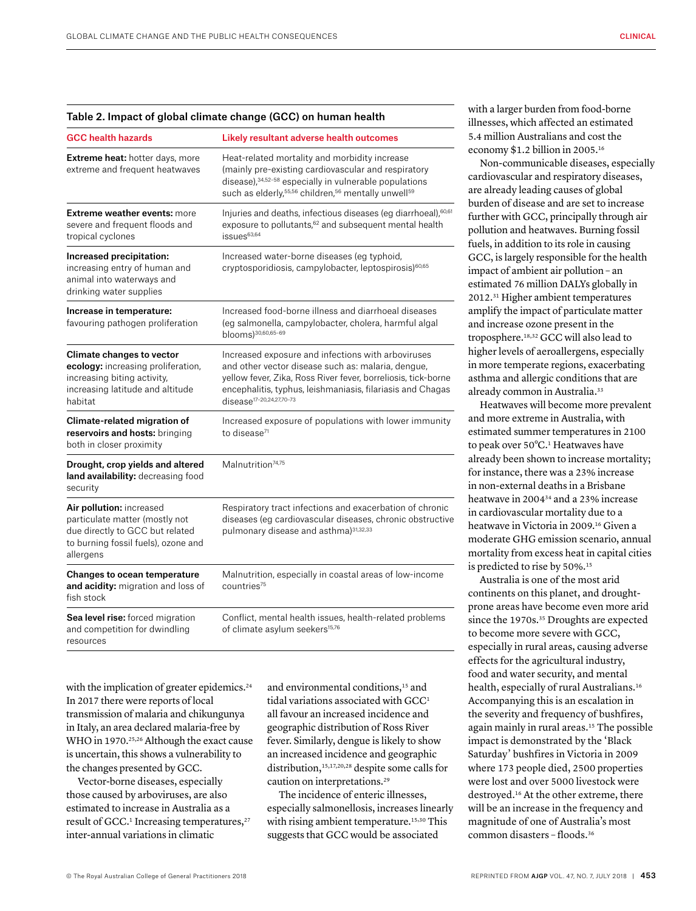| <b>GCC health hazards</b>                                                                                                                            | Likely resultant adverse health outcomes                                                                                                                                                                                                                                        |  |
|------------------------------------------------------------------------------------------------------------------------------------------------------|---------------------------------------------------------------------------------------------------------------------------------------------------------------------------------------------------------------------------------------------------------------------------------|--|
| Extreme heat: hotter days, more<br>extreme and frequent heatwaves                                                                                    | Heat-related mortality and morbidity increase<br>(mainly pre-existing cardiovascular and respiratory<br>disease), 34,52-58 especially in vulnerable populations<br>such as elderly, 55,56 children, 56 mentally unwell59                                                        |  |
| <b>Extreme weather events: more</b><br>severe and frequent floods and<br>tropical cyclones                                                           | Injuries and deaths, infectious diseases (eg diarrhoeal), <sup>60,61</sup><br>exposure to pollutants, <sup>62</sup> and subsequent mental health<br>$issues^{63,64}$                                                                                                            |  |
| Increased precipitation:<br>increasing entry of human and<br>animal into waterways and<br>drinking water supplies                                    | Increased water-borne diseases (eg typhoid,<br>cryptosporidiosis, campylobacter, leptospirosis) <sup>60,65</sup>                                                                                                                                                                |  |
| Increase in temperature:<br>favouring pathogen proliferation                                                                                         | Increased food-borne illness and diarrhoeal diseases<br>(eg salmonella, campylobacter, cholera, harmful algal<br>blooms) 30,60,65-69                                                                                                                                            |  |
| <b>Climate changes to vector</b><br>ecology: increasing proliferation,<br>increasing biting activity,<br>increasing latitude and altitude<br>habitat | Increased exposure and infections with arboviruses<br>and other vector disease such as: malaria, dengue,<br>yellow fever, Zika, Ross River fever, borreliosis, tick-borne<br>encephalitis, typhus, leishmaniasis, filariasis and Chagas<br>disease <sup>17-20,24,27,70-73</sup> |  |
| Climate-related migration of<br>reservoirs and hosts: bringing<br>both in closer proximity                                                           | Increased exposure of populations with lower immunity<br>to disease <sup>71</sup>                                                                                                                                                                                               |  |
| Drought, crop yields and altered<br>land availability: decreasing food<br>security                                                                   | Malnutrition <sup>74,75</sup>                                                                                                                                                                                                                                                   |  |
| Air pollution: increased<br>particulate matter (mostly not<br>due directly to GCC but related<br>to burning fossil fuels), ozone and<br>allergens    | Respiratory tract infections and exacerbation of chronic<br>diseases (eg cardiovascular diseases, chronic obstructive<br>pulmonary disease and asthma) <sup>31,32,33</sup>                                                                                                      |  |
| <b>Changes to ocean temperature</b><br>and acidity: migration and loss of<br>fish stock                                                              | Malnutrition, especially in coastal areas of low-income<br>countries <sup>75</sup>                                                                                                                                                                                              |  |
| Sea level rise: forced migration<br>and competition for dwindling<br>resources                                                                       | Conflict, mental health issues, health-related problems<br>of climate asylum seekers <sup>15,76</sup>                                                                                                                                                                           |  |

with the implication of greater epidemics.<sup>24</sup> In 2017 there were reports of local transmission of malaria and chikungunya in Italy, an area declared malaria-free by WHO in 1970. 25,26 Although the exact cause is uncertain, this shows a vulnerability to the changes presented by GCC.

Vector-borne diseases, especially those caused by arboviruses, are also estimated to increase in Australia as a result of GCC.<sup>1</sup> Increasing temperatures,<sup>27</sup> inter-annual variations in climatic

and environmental conditions,<sup>15</sup> and tidal variations associated with GCC<sup>1</sup> all favour an increased incidence and geographic distribution of Ross River fever. Similarly, dengue is likely to show an increased incidence and geographic distribution,15,17,20,28 despite some calls for caution on interpretations.29

The incidence of enteric illnesses, especially salmonellosis, increases linearly with rising ambient temperature.<sup>15,30</sup> This suggests that GCC would be associated

with a larger burden from food-borne illnesses, which affected an estimated 5.4 million Australians and cost the economy \$1.2 billion in 2005. 16

Non-communicable diseases, especially cardiovascular and respiratory diseases, are already leading causes of global burden of disease and are set to increase further with GCC, principally through air pollution and heatwaves. Burning fossil fuels, in addition to its role in causing GCC, is largely responsible for the health impact of ambient air pollution – an estimated 76 million DALYs globally in 2012. 31 Higher ambient temperatures amplify the impact of particulate matter and increase ozone present in the troposphere.18,32 GCC will also lead to higher levels of aeroallergens, especially in more temperate regions, exacerbating asthma and allergic conditions that are already common in Australia.<sup>33</sup>

Heatwaves will become more prevalent and more extreme in Australia, with estimated summer temperatures in 2100 to peak over 50°C.<sup>1</sup> Heatwaves have already been shown to increase mortality; for instance, there was a 23% increase in non-external deaths in a Brisbane heatwave in 200434 and a 23% increase in cardiovascular mortality due to a heatwave in Victoria in 2009. 16 Given a moderate GHG emission scenario, annual mortality from excess heat in capital cities is predicted to rise by 50%.<sup>15</sup>

Australia is one of the most arid continents on this planet, and droughtprone areas have become even more arid since the 1970s.<sup>35</sup> Droughts are expected to become more severe with GCC, especially in rural areas, causing adverse effects for the agricultural industry, food and water security, and mental health, especially of rural Australians.<sup>16</sup> Accompanying this is an escalation in the severity and frequency of bushfires, again mainly in rural areas.<sup>15</sup> The possible impact is demonstrated by the 'Black Saturday' bushfires in Victoria in 2009 where 173 people died, 2500 properties were lost and over 5000 livestock were destroyed.<sup>16</sup> At the other extreme, there will be an increase in the frequency and magnitude of one of Australia's most common disasters – floods.36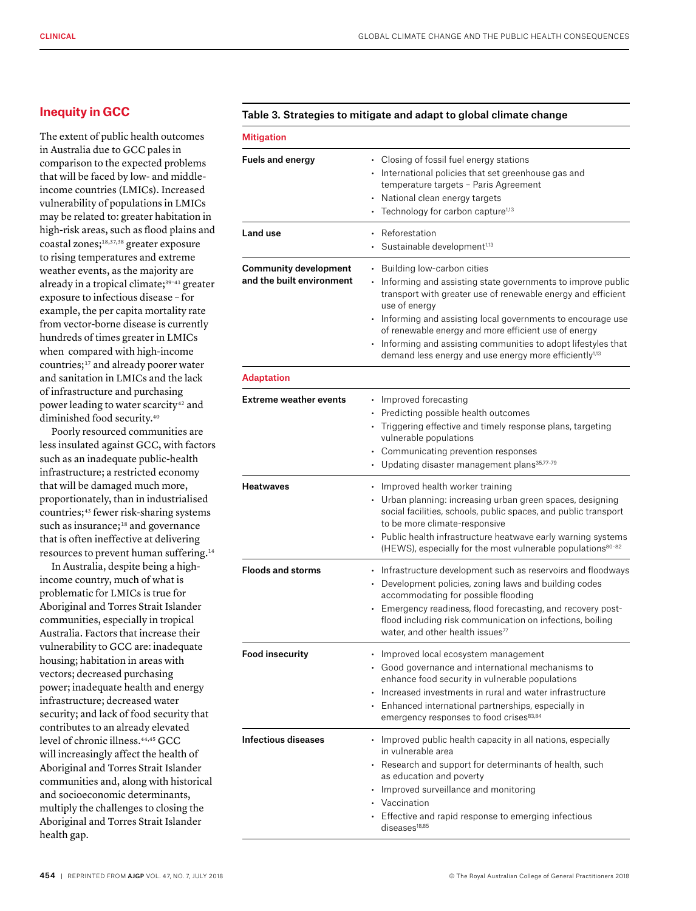## **Inequity in GCC**

The extent of public health outcomes in Australia due to GCC pales in comparison to the expected problems that will be faced by low- and middleincome countries (LMICs). Increased vulnerability of populations in LMICs may be related to: greater habitation in high-risk areas, such as flood plains and coastal zones;18,37,38 greater exposure to rising temperatures and extreme weather events, as the majority are already in a tropical climate;<sup>39-41</sup> greater exposure to infectious disease – for example, the per capita mortality rate from vector-borne disease is currently hundreds of times greater in LMICs when compared with high-income countries;<sup>17</sup> and already poorer water and sanitation in LMICs and the lack of infrastructure and purchasing power leading to water scarcity<sup>42</sup> and diminished food security.40

Poorly resourced communities are less insulated against GCC, with factors such as an inadequate public-health infrastructure; a restricted economy that will be damaged much more, proportionately, than in industrialised countries;<sup>43</sup> fewer risk-sharing systems such as insurance;<sup>18</sup> and governance that is often ineffective at delivering resources to prevent human suffering.14

In Australia, despite being a highincome country, much of what is problematic for LMICs is true for Aboriginal and Torres Strait Islander communities, especially in tropical Australia. Factors that increase their vulnerability to GCC are: inadequate housing; habitation in areas with vectors; decreased purchasing power; inadequate health and energy infrastructure; decreased water security; and lack of food security that contributes to an already elevated level of chronic illness.44,45 GCC will increasingly affect the health of Aboriginal and Torres Strait Islander communities and, along with historical and socioeconomic determinants, multiply the challenges to closing the Aboriginal and Torres Strait Islander health gap.

#### Table 3. Strategies to mitigate and adapt to global climate change

| <b>Mitigation</b>                                         |                                                                                                                                                                                                                                                                                                                                                                                                                                                |
|-----------------------------------------------------------|------------------------------------------------------------------------------------------------------------------------------------------------------------------------------------------------------------------------------------------------------------------------------------------------------------------------------------------------------------------------------------------------------------------------------------------------|
| <b>Fuels and energy</b>                                   | • Closing of fossil fuel energy stations<br>• International policies that set greenhouse gas and<br>temperature targets - Paris Agreement<br>• National clean energy targets<br>• Technology for carbon capture <sup>1,13</sup>                                                                                                                                                                                                                |
| Land use                                                  | Reforestation<br>Sustainable development <sup>1,13</sup>                                                                                                                                                                                                                                                                                                                                                                                       |
| <b>Community development</b><br>and the built environment | • Building low-carbon cities<br>• Informing and assisting state governments to improve public<br>transport with greater use of renewable energy and efficient<br>use of energy<br>• Informing and assisting local governments to encourage use<br>of renewable energy and more efficient use of energy<br>• Informing and assisting communities to adopt lifestyles that<br>demand less energy and use energy more efficiently <sup>1,13</sup> |
| <b>Adaptation</b>                                         |                                                                                                                                                                                                                                                                                                                                                                                                                                                |
| <b>Extreme weather events</b>                             | • Improved forecasting<br>• Predicting possible health outcomes<br>• Triggering effective and timely response plans, targeting<br>vulnerable populations<br>• Communicating prevention responses<br>• Updating disaster management plans <sup>35,77-79</sup>                                                                                                                                                                                   |
| Heatwaves                                                 | • Improved health worker training<br>• Urban planning: increasing urban green spaces, designing<br>social facilities, schools, public spaces, and public transport<br>to be more climate-responsive<br>• Public health infrastructure heatwave early warning systems<br>(HEWS), especially for the most vulnerable populations <sup>80-82</sup>                                                                                                |
| <b>Floods and storms</b>                                  | • Infrastructure development such as reservoirs and floodways<br>• Development policies, zoning laws and building codes<br>accommodating for possible flooding<br>• Emergency readiness, flood forecasting, and recovery post-<br>flood including risk communication on infections, boiling<br>water, and other health issues <sup>77</sup>                                                                                                    |
| <b>Food insecurity</b>                                    | • Improved local ecosystem management<br>• Good governance and international mechanisms to<br>enhance food security in vulnerable populations<br>• Increased investments in rural and water infrastructure<br>• Enhanced international partnerships, especially in<br>emergency responses to food crises83,84                                                                                                                                  |
| Infectious diseases                                       | • Improved public health capacity in all nations, especially<br>in vulnerable area<br>• Research and support for determinants of health, such<br>as education and poverty<br>• Improved surveillance and monitoring<br>• Vaccination<br>• Effective and rapid response to emerging infectious<br>diseases <sup>18,85</sup>                                                                                                                     |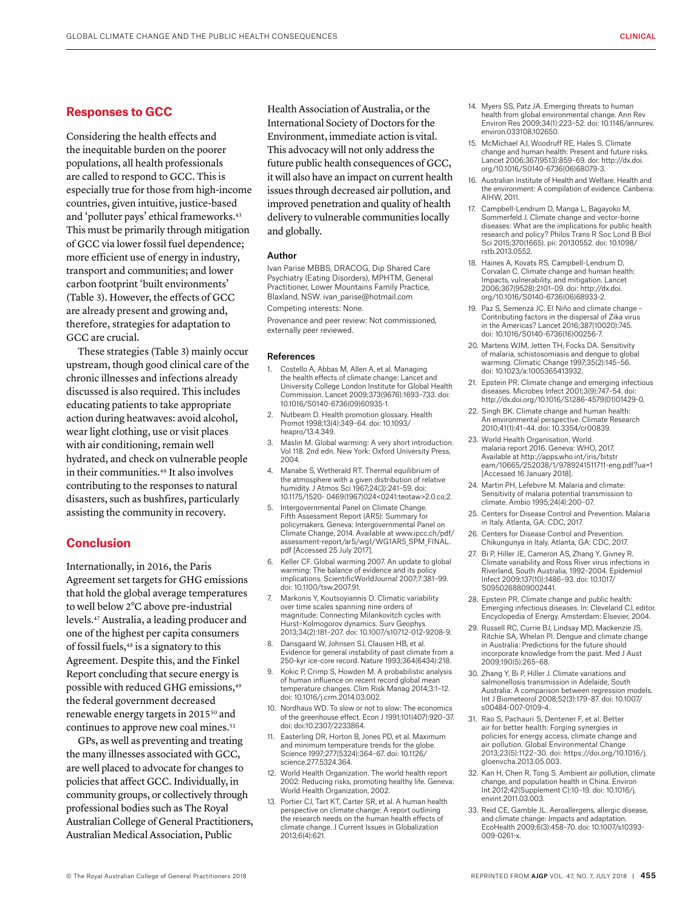#### **Responses to GCC**

Considering the health effects and the inequitable burden on the poorer populations, all health professionals are called to respond to GCC. This is especially true for those from high-income countries, given intuitive, justice-based and 'polluter pays' ethical frameworks.43 This must be primarily through mitigation of GCC via lower fossil fuel dependence; more efficient use of energy in industry, transport and communities; and lower carbon footprint 'built environments' (Table 3). However, the effects of GCC are already present and growing and, therefore, strategies for adaptation to GCC are crucial.

These strategies (Table 3) mainly occur upstream, though good clinical care of the chronic illnesses and infections already discussed is also required. This includes educating patients to take appropriate action during heatwaves: avoid alcohol, wear light clothing, use or visit places with air conditioning, remain well hydrated, and check on vulnerable people in their communities.<sup>46</sup> It also involves contributing to the responses to natural disasters, such as bushfires, particularly assisting the community in recovery.

### **Conclusion**

Internationally, in 2016, the Paris Agreement set targets for GHG emissions that hold the global average temperatures to well below 2°C above pre-industrial levels.47 Australia, a leading producer and one of the highest per capita consumers of fossil fuels,<sup>48</sup> is a signatory to this Agreement. Despite this, and the Finkel Report concluding that secure energy is possible with reduced GHG emissions,<sup>49</sup> the federal government decreased renewable energy targets in 201550 and continues to approve new coal mines.<sup>51</sup>

GPs, as well as preventing and treating the many illnesses associated with GCC, are well placed to advocate for changes to policies that affect GCC. Individually, in community groups, or collectively through professional bodies such as The Royal Australian College of General Practitioners, Australian Medical Association, Public

Health Association of Australia, or the International Society of Doctors for the Environment, immediate action is vital. This advocacy will not only address the future public health consequences of GCC, it will also have an impact on current health issues through decreased air pollution, and improved penetration and quality of health delivery to vulnerable communities locally and globally.

#### Author

Ivan Parise MBBS, DRACOG, Dip Shared Care Psychiatry (Eating Disorders), MPHTM, General Practitioner, Lower Mountains Family Practice, Blaxland, NSW. ivan\_parise@hotmail.com

Competing interests: None.

Provenance and peer review: Not commissioned, externally peer reviewed.

#### References

- 1. Costello A, Abbas M, Allen A, et al. Managing the health effects of climate change: Lancet and University College London Institute for Global Health Commission. Lancet 2009;373(9676):1693–733. doi: 10.1016/S0140-6736(09)60935-1.
- 2. Nutbeam D. Health promotion glossary. Health Promot 1998;13(4):349–64. doi: 10.1093/ heapro/13.4.349.
- Maslin M. Global warming: A very short introduction. Vol 118. 2nd edn. New York: Oxford University Press, 2004.
- 4. Manabe S, Wetherald RT. Thermal equilibrium of the atmosphere with a given distribution of relative humidity. J Atmos Sci 1967;24(3):241–59. doi: 10.1175/1520- 0469(1967)024<0241:teotaw>2.0.co;2.
- 5. Intergovernmental Panel on Climate Change. Fifth Assessment Report (AR5): Summary fo policymakers. Geneva: Intergovernmental Panel on Climate Change, 2014. Available at www.ipcc.ch/pdf/ assessment-report/ar5/wg1/WG1AR5\_SPM\_FINAL. pdf [Accessed 25 July 2017].
- 6. Keller CF. Global warming 2007. An update to global warming: The balance of evidence and its policy implications. ScientificWorldJournal 2007;7:381–99. doi: 10.1100/tsw.2007.91.
- 7. Markonis Y, Koutsoyiannis D. Climatic variability over time scales spanning nine orders of magnitude: Connecting Milankovitch cycles with Hurst–Kolmogorov dynamics. Surv Geophys 2013;34(2):181–207. doi: 10.1007/s10712-012-9208-9.
- Dansgaard W, Johnsen SJ, Clausen HB, et al. Evidence for general instability of past climate from a 250-kyr ice-core record. Nature 1993;364(6434):218.
- 9. Kokic P, Crimp S, Howden M. A probabilistic analysis of human influence on recent record global mean temperature changes. Clim Risk Manag 2014;3:1–12. doi: 10.1016/j.crm.2014.03.002.
- 10. Nordhaus WD. To slow or not to slow: The economics of the greenhouse effect. Econ J 1991;101(407):920–37. doi: doi:10.2307/2233864.
- 11. Easterling DR, Horton B, Jones PD, et al. Maximum and minimum temperature trends for the globe. Science 1997;277(5324):364–67. doi: 10.1126/ science.277.5324.364.
- 12. World Health Organization. The world health report 2002: Reducing risks, promoting healthy life. Geneva: World Health Organization, 2002.
- 13. Portier CJ, Tart KT, Carter SR, et al. A human health perspective on climate change: A report outlining the research needs on the human health effects of climate change. J Current Issues in Globalization 2013;6(4):621.
- 14. Myers SS, Patz JA. Emerging threats to human health from global environmental change. Ann Rev Environ Res 2009;34(1):223–52. doi: 10.1146/annurev. environ.033108.102650.
- 15. McMichael AJ, Woodruff RE, Hales S. Climate change and human health: Present and future risks. Lancet 2006;367(9513):859–69. doi: http://dx.doi. org/10.1016/S0140-6736(06)68079-3.
- 16. Australian Institute of Health and Welfare. Health and the environment: A compilation of evidence. Canberra: AIHW, 2011.
- 17. Campbell-Lendrum D, Manga L, Bagayoko M, Sommerfeld J. Climate change and vector-borne diseases: What are the implications for public health research and policy? Philos Trans R Soc Lond B Biol Sci 2015;370(1665). pii: 20130552. doi: 10.1098/ rstb.2013.0552.
- 18. Haines A, Kovats RS, Campbell-Lendrum D, Corvalan C. Climate change and human health: Impacts, vulnerability, and mitigation. Lancet 2006;367(9528):2101–09. doi: http://dx.doi. org/10.1016/S0140-6736(06)68933-2.
- 19. Paz S, Semenza JC. El Niño and climate change Contributing factors in the dispersal of Zika virus in the Americas? Lancet 2016;387(10020):745. doi: 10.1016/S0140-6736(16)00256-7.
- 20. Martens WJM, Jetten TH, Focks DA. Sensitivity of malaria, schistosomiasis and dengue to global warming. Climatic Change 1997;35(2):145–56. doi: 10.1023/a:1005365413932.
- 21. Epstein PR. Climate change and emerging infectious diseases. Microbes Infect 2001;3(9):747–54. doi: http://dx.doi.org/10.1016/S1286-4579(01)01429-0.
- 22. Singh BK. Climate change and human health: An environmental perspective. Climate Research 2010;41(1):41–44. doi: 10.3354/cr00839.
- 23. World Health Organisation. World malaria report 2016. Geneva: WHO, 2017. Available at http://apps.who.int/iris/bitstr eam/10665/252038/1/9789241511711-eng.pdf?ua=1 [Accessed 16 January 2018].
- 24. Martin PH, Lefebvre M. Malaria and climate: Sensitivity of malaria potential transmission to climate. Ambio 1995;24(4):200–07.
- 25. Centers for Disease Control and Prevention. Malaria in Italy. Atlanta, GA: CDC, 2017.
- 26. Centers for Disease Control and Prevention. Chikungunya in Italy. Atlanta, GA: CDC, 2017.
- 27. Bi P, Hiller JE, Cameron AS, Zhang Y, Givney R. Climate variability and Ross River virus infections in Riverland, South Australia, 1992–2004. Epidemiol Infect 2009;137(10):1486–93. doi: 10.1017/ S0950268809002441.
- 28. Epstein PR. Climate change and public health: Emerging infectious diseases. In: Cleveland CJ, editor. Encyclopedia of Energy. Amsterdam: Elsevier, 2004.
- 29. Russell RC, Currie BJ, Lindsay MD, Mackenzie JS, Ritchie SA, Whelan PI. Dengue and climate change in Australia: Predictions for the future should incorporate knowledge from the past. Med J Aust 2009;190(5):265–68.
- 30. Zhang Y, Bi P, Hiller J. Climate variations and salmonellosis transmission in Adelaide, South Australia: A comparison between regression models. Int J Biometeorol 2008;52(3):179–87. doi: 10.1007/ s00484-007-0109-4.
- 31. Rao S, Pachauri S, Dentener F, et al. Better air for better health: Forging synergies in policies for energy access, climate change and air pollution. Global Environmental Change 2013;23(5):1122–30. doi: https://doi.org/10.1016/j. gloenvcha.2013.05.003.
- 32. Kan H, Chen R, Tong S. Ambient air pollution, climate change, and population health in China. Environ Int 2012;42(Supplement C):10–19. doi: 10.1016/j. envint.2011.03.003.
- 33. Reid CE, Gamble JL. Aeroallergens, allergic disease, and climate change: Impacts and adaptation. EcoHealth 2009;6(3):458–70. doi: 10.1007/s10393- 009-0261-x.